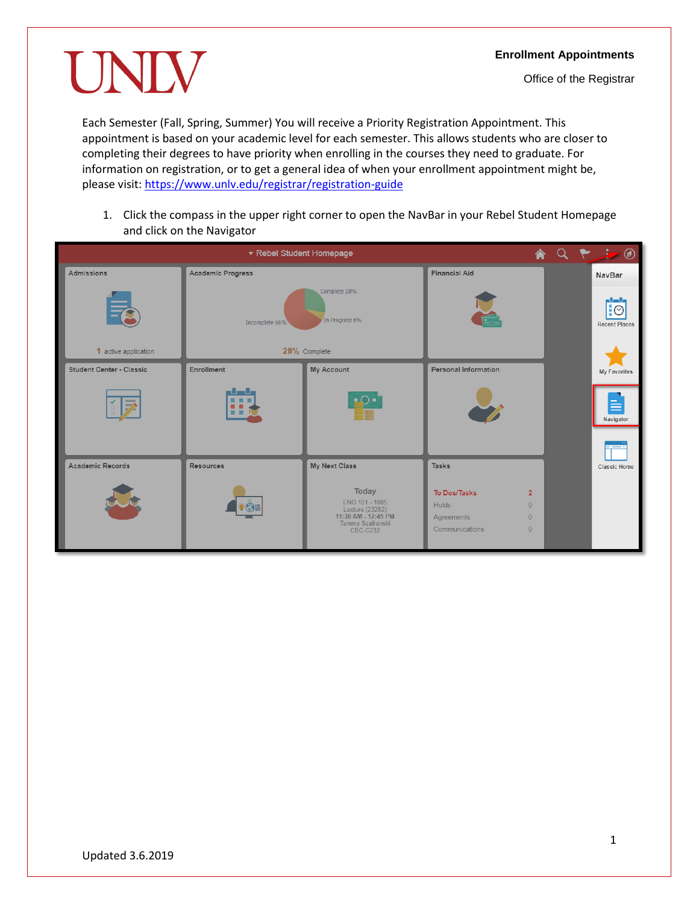UNIV

Each Semester (Fall, Spring, Summer) You will receive a Priority Registration Appointment. This appointment is based on your academic level for each semester. This allows students who are closer to completing their degrees to have priority when enrolling in the courses they need to graduate. For information on registration, or to get a general idea of when your enrollment appointment might be, please visit[: https://www.unlv.edu/registrar/registration-guide](https://www.unlv.edu/registrar/registration-guide)

1. Click the compass in the upper right corner to open the NavBar in your Rebel Student Homepage and click on the Navigator

| ▼ Rebel Student Homepage                     |                                                  |                                                                                                          |                                                                                                                                |  |  | $A Q P. = 0$                    |
|----------------------------------------------|--------------------------------------------------|----------------------------------------------------------------------------------------------------------|--------------------------------------------------------------------------------------------------------------------------------|--|--|---------------------------------|
| Admissions                                   | <b>Academic Progress</b>                         |                                                                                                          | <b>Financial Aid</b>                                                                                                           |  |  | <b>NavBar</b>                   |
|                                              | Complete 28%<br>In Progress 6%<br>Incomplete 66% |                                                                                                          |                                                                                                                                |  |  | ┅<br>‼©<br><b>Recent Places</b> |
| 1 active application                         | 28% Complete                                     |                                                                                                          |                                                                                                                                |  |  |                                 |
| <b>Student Center - Classic</b>              | Enrollment                                       | My Account                                                                                               | <b>Personal Information</b>                                                                                                    |  |  | My Favorites                    |
| $\Rightarrow$<br>$\mathbb{Z}^{\mathbb{Z}^2}$ | والسال<br>.<br>. .                               | ∙் Ω                                                                                                     |                                                                                                                                |  |  | Navigator                       |
|                                              |                                                  |                                                                                                          |                                                                                                                                |  |  |                                 |
| <b>Academic Records</b>                      | <b>Resources</b>                                 | My Next Class                                                                                            | Tasks                                                                                                                          |  |  | Classic Home                    |
|                                              | $\mathbf{G}$                                     | Today<br>ENG 101 - 1005<br>Lecture (23282)<br>11:30 AM - 12:45 PM<br>Tammy Szafranski<br><b>CBC-C232</b> | To Dos/Tasks<br>$\overline{2}$<br><b>Holds</b><br>$\Omega$<br>$\overline{0}$<br>Agreements<br>Communications<br>$\overline{0}$ |  |  |                                 |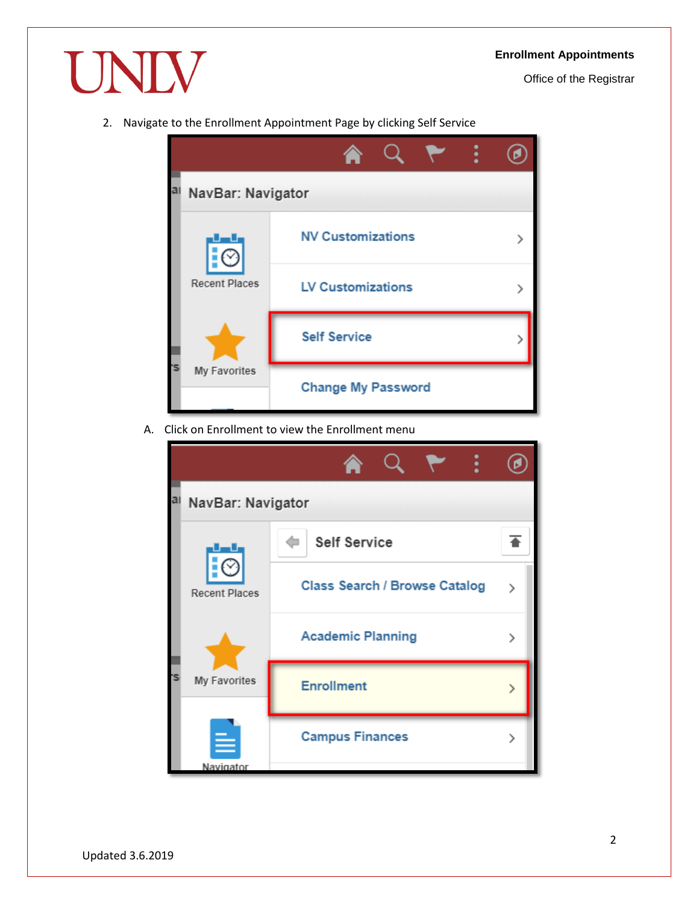Office of the Registrar

2. Navigate to the Enrollment Appointment Page by clicking Self Service

UNIV



A. Click on Enrollment to view the Enrollment menu

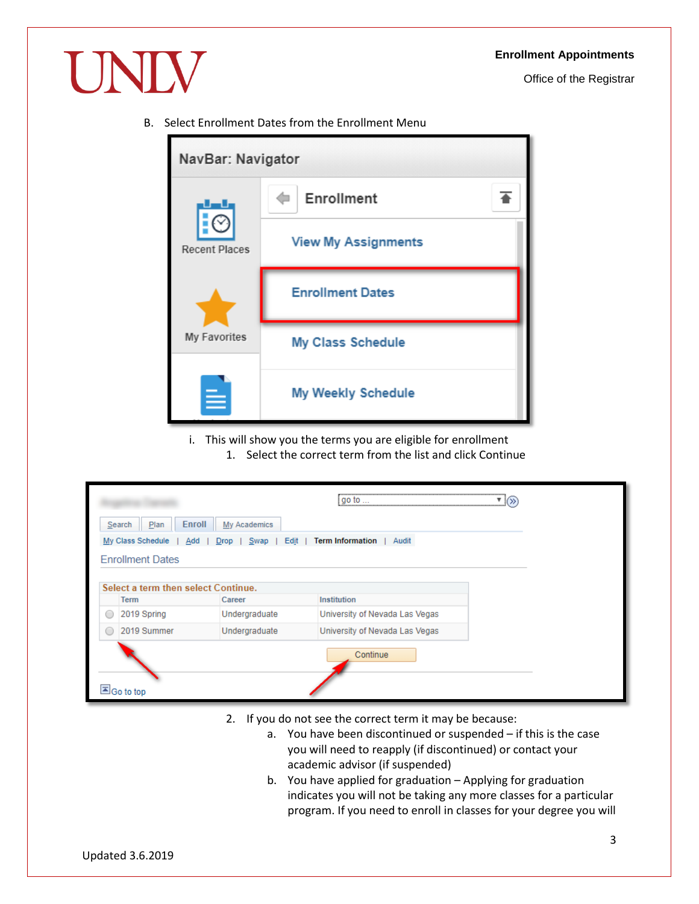Office of the Registrar

B. Select Enrollment Dates from the Enrollment Menu

UNIV

| NavBar: Navigator                           |                            |  |  |  |  |
|---------------------------------------------|----------------------------|--|--|--|--|
| <b>Recent Places</b><br><b>My Favorites</b> | Enrollment                 |  |  |  |  |
|                                             | <b>View My Assignments</b> |  |  |  |  |
|                                             | <b>Enrollment Dates</b>    |  |  |  |  |
|                                             | <b>My Class Schedule</b>   |  |  |  |  |
|                                             | <b>My Weekly Schedule</b>  |  |  |  |  |

i. This will show you the terms you are eligible for enrollment 1. Select the correct term from the list and click Continue

|            |                                     |                      | $ig$ o to<br>                    |  |
|------------|-------------------------------------|----------------------|----------------------------------|--|
|            | Enroll<br>Plan<br>Search            | My Academics         |                                  |  |
|            | My Class Schedule<br>Add            | Edit<br>Swap<br>Drop | <b>Term Information</b><br>Audit |  |
|            | <b>Enrollment Dates</b>             |                      |                                  |  |
|            |                                     |                      |                                  |  |
|            | Select a term then select Continue. |                      |                                  |  |
|            | <b>Term</b>                         | Career               | Institution                      |  |
| ○          | 2019 Spring                         | Undergraduate        | University of Nevada Las Vegas   |  |
| $\bigcirc$ | 2019 Summer                         | Undergraduate        | University of Nevada Las Vegas   |  |
|            | Go to top                           |                      | Continue                         |  |

- 2. If you do not see the correct term it may be because:
	- a. You have been discontinued or suspended if this is the case you will need to reapply (if discontinued) or contact your academic advisor (if suspended)
	- b. You have applied for graduation Applying for graduation indicates you will not be taking any more classes for a particular program. If you need to enroll in classes for your degree you will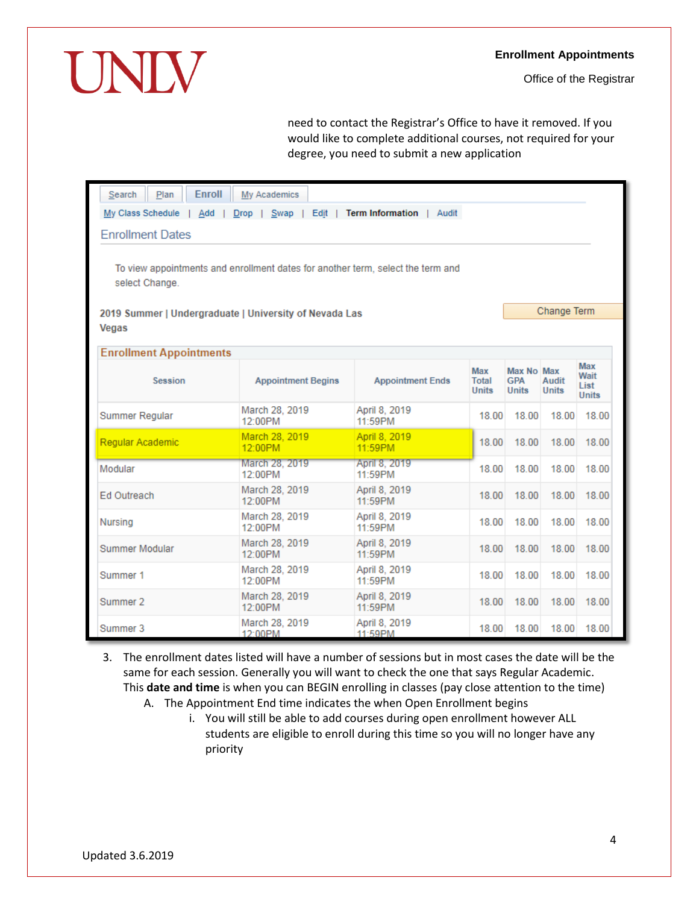## **Enrollment Appointments**

Office of the Registrar

need to contact the Registrar's Office to have it removed. If you would like to complete additional courses, not required for your degree, you need to submit a new application

| <b>Enroll</b><br>Plan<br>Search                                                          | My Academics                                                                    |                          |                              |                                          |                              |                                     |  |
|------------------------------------------------------------------------------------------|---------------------------------------------------------------------------------|--------------------------|------------------------------|------------------------------------------|------------------------------|-------------------------------------|--|
| My Class Schedule<br>Drop   Swap   Edit  <br>Term Information   Audit<br>Add             |                                                                                 |                          |                              |                                          |                              |                                     |  |
| <b>Enrollment Dates</b>                                                                  |                                                                                 |                          |                              |                                          |                              |                                     |  |
| select Change.<br>2019 Summer   Undergraduate   University of Nevada Las<br><b>Vegas</b> | To view appointments and enrollment dates for another term, select the term and |                          |                              |                                          | Change Term                  |                                     |  |
| <b>Enrollment Appointments</b>                                                           |                                                                                 |                          |                              |                                          |                              |                                     |  |
| <b>Session</b>                                                                           | <b>Appointment Begins</b>                                                       | <b>Appointment Ends</b>  | Max<br>Total<br><b>Units</b> | Max No Max<br><b>GPA</b><br><b>Units</b> | <b>Audit</b><br><b>Units</b> | Max<br>Wait<br>List<br><b>Units</b> |  |
| <b>Summer Regular</b>                                                                    | March 28, 2019<br>12:00PM                                                       | April 8, 2019<br>11:59PM | 18.00                        | 18.00                                    | 18.00                        | 18.00                               |  |
| Regular Academic                                                                         | March 28, 2019<br>12:00PM                                                       | April 8, 2019<br>11:59PM | 18.00                        | 18.00                                    | 18.00                        | 18.00                               |  |
| Modular                                                                                  | March 28, 2019<br>12:00PM                                                       | April 8, 2019<br>11:59PM | 18.00                        | 18.00                                    | 18.00                        | 18.00                               |  |
| <b>Ed Outreach</b>                                                                       | March 28, 2019<br>12:00PM                                                       | April 8, 2019<br>11:59PM | 18.00                        | 18.00                                    | 18.00                        | 18.00                               |  |
| Nursing                                                                                  | March 28, 2019<br>12:00PM                                                       | April 8, 2019<br>11:59PM | 18.00                        | 18.00                                    | 18.00                        | 18.00                               |  |
| Summer Modular                                                                           | March 28, 2019<br>12:00PM                                                       | April 8, 2019<br>11:59PM | 18.00                        | 18.00                                    | 18.00                        | 18.00                               |  |
| Summer 1                                                                                 | March 28, 2019<br>12:00PM                                                       | April 8, 2019<br>11:59PM | 18.00                        | 18.00                                    | 18.00                        | 18.00                               |  |
| Summer 2                                                                                 | March 28, 2019<br>12:00PM                                                       | April 8, 2019<br>11:59PM | 18.00                        | 18.00                                    | 18.00                        | 18.00                               |  |
| Summer 3                                                                                 | March 28, 2019<br>12:00PM                                                       | April 8, 2019<br>11:59PM | 18.00                        | 18.00                                    | 18.00                        | 18.00                               |  |

- 3. The enrollment dates listed will have a number of sessions but in most cases the date will be the same for each session. Generally you will want to check the one that says Regular Academic. This **date and time** is when you can BEGIN enrolling in classes (pay close attention to the time)
	- A. The Appointment End time indicates the when Open Enrollment begins
		- i. You will still be able to add courses during open enrollment however ALL students are eligible to enroll during this time so you will no longer have any priority

UNIV